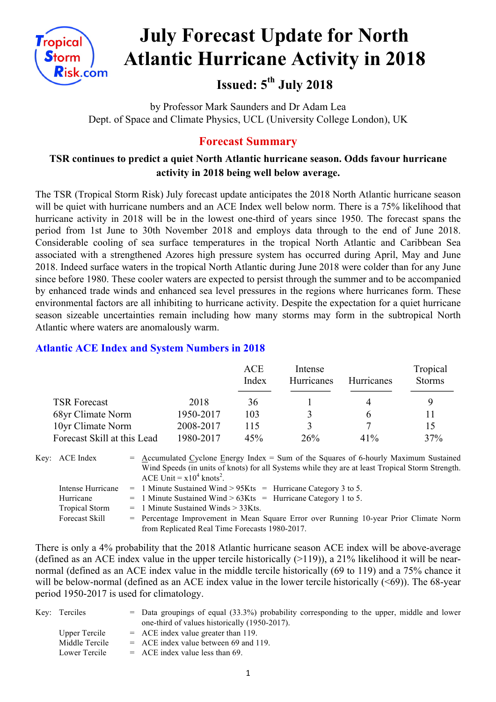

# **July Forecast Update for North Atlantic Hurricane Activity in 2018**

# **Issued: 5th July 2018**

by Professor Mark Saunders and Dr Adam Lea Dept. of Space and Climate Physics, UCL (University College London), UK

# **Forecast Summary**

# **TSR continues to predict a quiet North Atlantic hurricane season. Odds favour hurricane activity in 2018 being well below average.**

The TSR (Tropical Storm Risk) July forecast update anticipates the 2018 North Atlantic hurricane season will be quiet with hurricane numbers and an ACE Index well below norm. There is a 75% likelihood that hurricane activity in 2018 will be in the lowest one-third of years since 1950. The forecast spans the period from 1st June to 30th November 2018 and employs data through to the end of June 2018. Considerable cooling of sea surface temperatures in the tropical North Atlantic and Caribbean Sea associated with a strengthened Azores high pressure system has occurred during April, May and June 2018. Indeed surface waters in the tropical North Atlantic during June 2018 were colder than for any June since before 1980. These cooler waters are expected to persist through the summer and to be accompanied by enhanced trade winds and enhanced sea level pressures in the regions where hurricanes form. These environmental factors are all inhibiting to hurricane activity. Despite the expectation for a quiet hurricane season sizeable uncertainties remain including how many storms may form in the subtropical North Atlantic where waters are anomalously warm.

#### **Atlantic ACE Index and System Numbers in 2018**

|                             |           | <b>ACE</b><br>Index | Intense<br>Hurricanes | <b>Hurricanes</b> | Tropical<br><b>Storms</b> |
|-----------------------------|-----------|---------------------|-----------------------|-------------------|---------------------------|
| <b>TSR Forecast</b>         | 2018      | 36                  |                       |                   |                           |
| 68yr Climate Norm           | 1950-2017 | 103                 |                       | <sub>t</sub>      | 11                        |
| 10yr Climate Norm           | 2008-2017 | 115                 |                       |                   | 15                        |
| Forecast Skill at this Lead | 1980-2017 | 45%                 | 26%                   | 41%               | 37%                       |

| Key: ACE Index        | $=$ Accumulated Cyclone Energy Index $=$ Sum of the Squares of 6-hourly Maximum Sustained        |  |  |  |  |  |
|-----------------------|--------------------------------------------------------------------------------------------------|--|--|--|--|--|
|                       | Wind Speeds (in units of knots) for all Systems while they are at least Tropical Storm Strength. |  |  |  |  |  |
|                       | ACE Unit = $x10^4$ knots <sup>2</sup> .                                                          |  |  |  |  |  |
| Intense Hurricane     | $=$ 1 Minute Sustained Wind > 95Kts = Hurricane Category 3 to 5.                                 |  |  |  |  |  |
| Hurricane             | $=$ 1 Minute Sustained Wind > 63Kts = Hurricane Category 1 to 5.                                 |  |  |  |  |  |
| <b>Tropical Storm</b> | $=$ 1 Minute Sustained Winds $>$ 33Kts.                                                          |  |  |  |  |  |
| Forecast Skill        | = Percentage Improvement in Mean Square Error over Running 10-year Prior Climate Norm            |  |  |  |  |  |
|                       | from Replicated Real Time Forecasts 1980-2017.                                                   |  |  |  |  |  |

There is only a 4% probability that the 2018 Atlantic hurricane season ACE index will be above-average (defined as an ACE index value in the upper tercile historically  $(>119)$ ), a 21% likelihood it will be nearnormal (defined as an ACE index value in the middle tercile historically (69 to 119) and a 75% chance it will be below-normal (defined as an ACE index value in the lower tercile historically (<69)). The 68-year period 1950-2017 is used for climatology.

| Key: Terciles  | $=$ Data groupings of equal (33.3%) probability corresponding to the upper, middle and lower |
|----------------|----------------------------------------------------------------------------------------------|
|                | one-third of values historically (1950-2017).                                                |
| Upper Tercile  | $=$ ACE index value greater than 119.                                                        |
| Middle Tercile | $=$ ACE index value between 69 and 119.                                                      |
| Lower Tercile  | $=$ ACE index value less than 69.                                                            |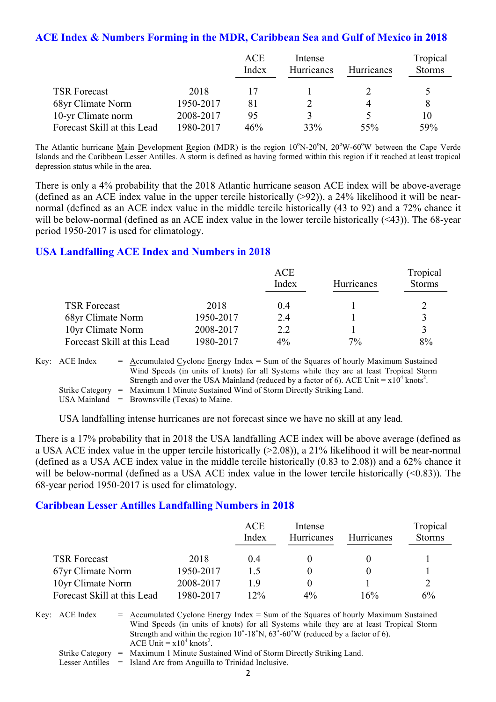#### **ACE Index & Numbers Forming in the MDR, Caribbean Sea and Gulf of Mexico in 2018**

|                             |           | <b>ACE</b><br>Index | Intense<br><b>Hurricanes</b> | <b>Hurricanes</b> | Tropical<br><b>Storms</b> |
|-----------------------------|-----------|---------------------|------------------------------|-------------------|---------------------------|
| <b>TSR Forecast</b>         | 2018      |                     |                              |                   |                           |
| 68yr Climate Norm           | 1950-2017 | 81                  |                              |                   |                           |
| 10-yr Climate norm          | 2008-2017 | 95                  | 3                            |                   | 10                        |
| Forecast Skill at this Lead | 1980-2017 | 46%                 | 33%                          | 55%               | 59%                       |

The Atlantic hurricane Main Development Region (MDR) is the region 10°N-20°N, 20°W-60°W between the Cape Verde Islands and the Caribbean Lesser Antilles. A storm is defined as having formed within this region if it reached at least tropical depression status while in the area.

There is only a 4% probability that the 2018 Atlantic hurricane season ACE index will be above-average (defined as an ACE index value in the upper tercile historically (>92)), a 24% likelihood it will be nearnormal (defined as an ACE index value in the middle tercile historically (43 to 92) and a 72% chance it will be below-normal (defined as an ACE index value in the lower tercile historically (<43)). The 68-year period 1950-2017 is used for climatology.

#### **USA Landfalling ACE Index and Numbers in 2018**

|                             |           | ACE<br>Index | Hurricanes | Tropical<br><b>Storms</b> |
|-----------------------------|-----------|--------------|------------|---------------------------|
| <b>TSR Forecast</b>         | 2018      | 0.4          |            |                           |
| 68yr Climate Norm           | 1950-2017 | 2.4          |            |                           |
| 10yr Climate Norm           | 2008-2017 | 2.2          |            |                           |
| Forecast Skill at this Lead | 1980-2017 | $4\%$        | 7%         | 8%                        |

Key: ACE Index  $=$  Accumulated Cyclone Energy Index = Sum of the Squares of hourly Maximum Sustained Wind Speeds (in units of knots) for all Systems while they are at least Tropical Storm Strength and over the USA Mainland (reduced by a factor of 6). ACE Unit =  $x10^4$  knots<sup>2</sup>. Strike Category = Maximum 1 Minute Sustained Wind of Storm Directly Striking Land. USA Mainland  $=$  Brownsville (Texas) to Maine.

USA landfalling intense hurricanes are not forecast since we have no skill at any lead.

There is a 17% probability that in 2018 the USA landfalling ACE index will be above average (defined as a USA ACE index value in the upper tercile historically (>2.08)), a 21% likelihood it will be near-normal (defined as a USA ACE index value in the middle tercile historically (0.83 to 2.08)) and a 62% chance it will be below-normal (defined as a USA ACE index value in the lower tercile historically (<0.83)). The 68-year period 1950-2017 is used for climatology.

#### **Caribbean Lesser Antilles Landfalling Numbers in 2018**

|                             |           | <b>ACE</b><br>Index | Intense<br>Hurricanes | <b>Hurricanes</b> | Tropical<br><b>Storms</b> |
|-----------------------------|-----------|---------------------|-----------------------|-------------------|---------------------------|
| <b>TSR Forecast</b>         | 2018      | 04                  |                       |                   |                           |
| 67yr Climate Norm           | 1950-2017 | 15                  |                       |                   |                           |
| 10yr Climate Norm           | 2008-2017 | 19                  |                       |                   |                           |
| Forecast Skill at this Lead | 1980-2017 | $12\%$              | $4\%$                 | 16%               | 6%                        |

Key:  $ACE Index = Accumulated Cyclone Energy Index = Sum of the Squares of hourly Maximum Sustainable$ Wind Speeds (in units of knots) for all Systems while they are at least Tropical Storm Strength and within the region  $10^{\circ}$ -18<sup>°</sup>N,  $63^{\circ}$ -60<sup>°</sup>W (reduced by a factor of 6). ACE Unit =  $x10^4$  knots<sup>2</sup>.

Strike Category = Maximum 1 Minute Sustained Wind of Storm Directly Striking Land.

Lesser Antilles = Island Arc from Anguilla to Trinidad Inclusive.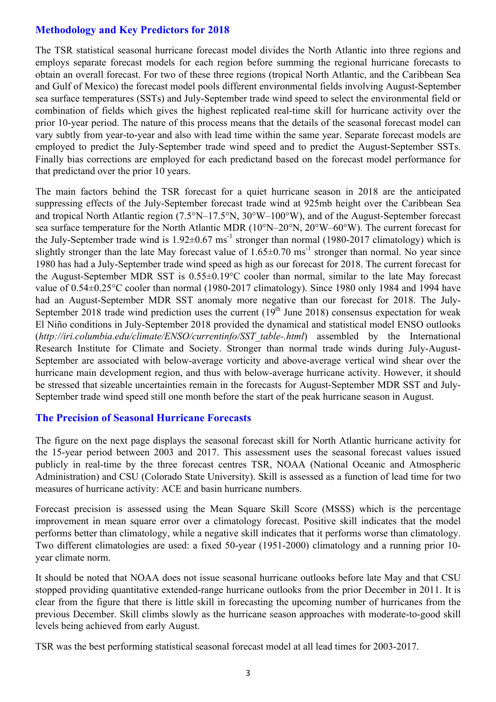# **Methodology and Key Predictors for 2018**

The TSR statistical seasonal hurricane forecast model divides the North Atlantic into three regions and employs separate forecast models for each region before summing the regional hurricane forecasts to obtain an overall forecast. For two of these three regions (tropical North Atlantic, and the Caribbean Sea and Gulf of Mexico) the forecast model pools different environmental fields involving August-September sea surface temperatures (SSTs) and July-September trade wind speed to select the environmental field or combination of fields which gives the highest replicated real-time skill for hurricane activity over the prior 10-year period. The nature of this process means that the details of the seasonal forecast model can vary subtly from year-to-year and also with lead time within the same year. Separate forecast models are employed to predict the July-September trade wind speed and to predict the August-September SSTs. Finally bias corrections are employed for each predictand based on the forecast model performance for that predictand over the prior 10 years.

The main factors behind the TSR forecast for a quiet hurricane season in 2018 are the anticipated suppressing effects of the July-September forecast trade wind at 925mb height over the Caribbean Sea and tropical North Atlantic region (7.5°N–17.5°N, 30°W–100°W), and of the August-September forecast sea surface temperature for the North Atlantic MDR (10°N–20°N, 20°W–60°W). The current forecast for the July-September trade wind is  $1.92 \pm 0.67$  ms<sup>-1</sup> stronger than normal (1980-2017 climatology) which is slightly stronger than the late May forecast value of  $1.65\pm0.70$  ms<sup>-1</sup> stronger than normal. No year since 1980 has had a July-September trade wind speed as high as our forecast for 2018. The current forecast for the August-September MDR SST is 0.55±0.19°C cooler than normal, similar to the late May forecast value of 0.54±0.25°C cooler than normal (1980-2017 climatology). Since 1980 only 1984 and 1994 have had an August-September MDR SST anomaly more negative than our forecast for 2018. The July-September 2018 trade wind prediction uses the current  $(19<sup>th</sup>$  June 2018) consensus expectation for weak El Niño conditions in July-September 2018 provided the dynamical and statistical model ENSO outlooks (*http://iri.columbia.edu/climate/ENSO/currentinfo/SST\_table-.html*) assembled by the International Research Institute for Climate and Society. Stronger than normal trade winds during July-August-September are associated with below-average vorticity and above-average vertical wind shear over the hurricane main development region, and thus with below-average hurricane activity. However, it should be stressed that sizeable uncertainties remain in the forecasts for August-September MDR SST and July-September trade wind speed still one month before the start of the peak hurricane season in August.

# **The Precision of Seasonal Hurricane Forecasts**

The figure on the next page displays the seasonal forecast skill for North Atlantic hurricane activity for the 15-year period between 2003 and 2017. This assessment uses the seasonal forecast values issued publicly in real-time by the three forecast centres TSR, NOAA (National Oceanic and Atmospheric Administration) and CSU (Colorado State University). Skill is assessed as a function of lead time for two measures of hurricane activity: ACE and basin hurricane numbers.

Forecast precision is assessed using the Mean Square Skill Score (MSSS) which is the percentage improvement in mean square error over a climatology forecast. Positive skill indicates that the model performs better than climatology, while a negative skill indicates that it performs worse than climatology. Two different climatologies are used: a fixed 50-year (1951-2000) climatology and a running prior 10 year climate norm.

It should be noted that NOAA does not issue seasonal hurricane outlooks before late May and that CSU stopped providing quantitative extended-range hurricane outlooks from the prior December in 2011. It is clear from the figure that there is little skill in forecasting the upcoming number of hurricanes from the previous December. Skill climbs slowly as the hurricane season approaches with moderate-to-good skill levels being achieved from early August.

TSR was the best performing statistical seasonal forecast model at all lead times for 2003-2017.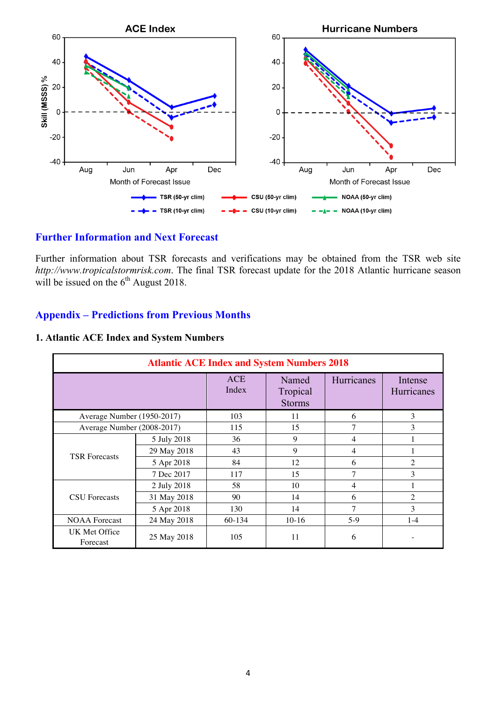

#### **Further Information and Next Forecast**

Further information about TSR forecasts and verifications may be obtained from the TSR web site *http://www.tropicalstormrisk.com*. The final TSR forecast update for the 2018 Atlantic hurricane season will be issued on the  $6<sup>th</sup>$  August 2018.

#### **Appendix – Predictions from Previous Months**

| <b>Atlantic ACE Index and System Numbers 2018</b> |             |              |                                    |                |                       |  |
|---------------------------------------------------|-------------|--------------|------------------------------------|----------------|-----------------------|--|
|                                                   |             | ACE<br>Index | Named<br>Tropical<br><b>Storms</b> | Hurricanes     | Intense<br>Hurricanes |  |
| Average Number (1950-2017)                        |             | 103          | 11                                 | 6              | 3                     |  |
| Average Number (2008-2017)                        |             | 115          | 15                                 | 7              | 3                     |  |
|                                                   | 5 July 2018 | 36           | 9                                  | 4              |                       |  |
|                                                   | 29 May 2018 | 43           | 9                                  | 4              |                       |  |
| <b>TSR Forecasts</b>                              | 5 Apr 2018  | 84           | 12                                 | 6              | $\overline{2}$        |  |
|                                                   | 7 Dec 2017  | 117          | 15                                 | 7              | 3                     |  |
|                                                   | 2 July 2018 | 58           | 10                                 | $\overline{4}$ |                       |  |
| <b>CSU</b> Forecasts                              | 31 May 2018 | 90           | 14                                 | 6              | $\overline{2}$        |  |
|                                                   | 5 Apr 2018  | 130          | 14                                 | $\tau$         | 3                     |  |
| <b>NOAA</b> Forecast                              | 24 May 2018 | 60-134       | $10-16$                            | $5-9$          | $1-4$                 |  |
| UK Met Office<br>Forecast                         | 25 May 2018 | 105          | 11                                 | 6              |                       |  |

#### **1. Atlantic ACE Index and System Numbers**